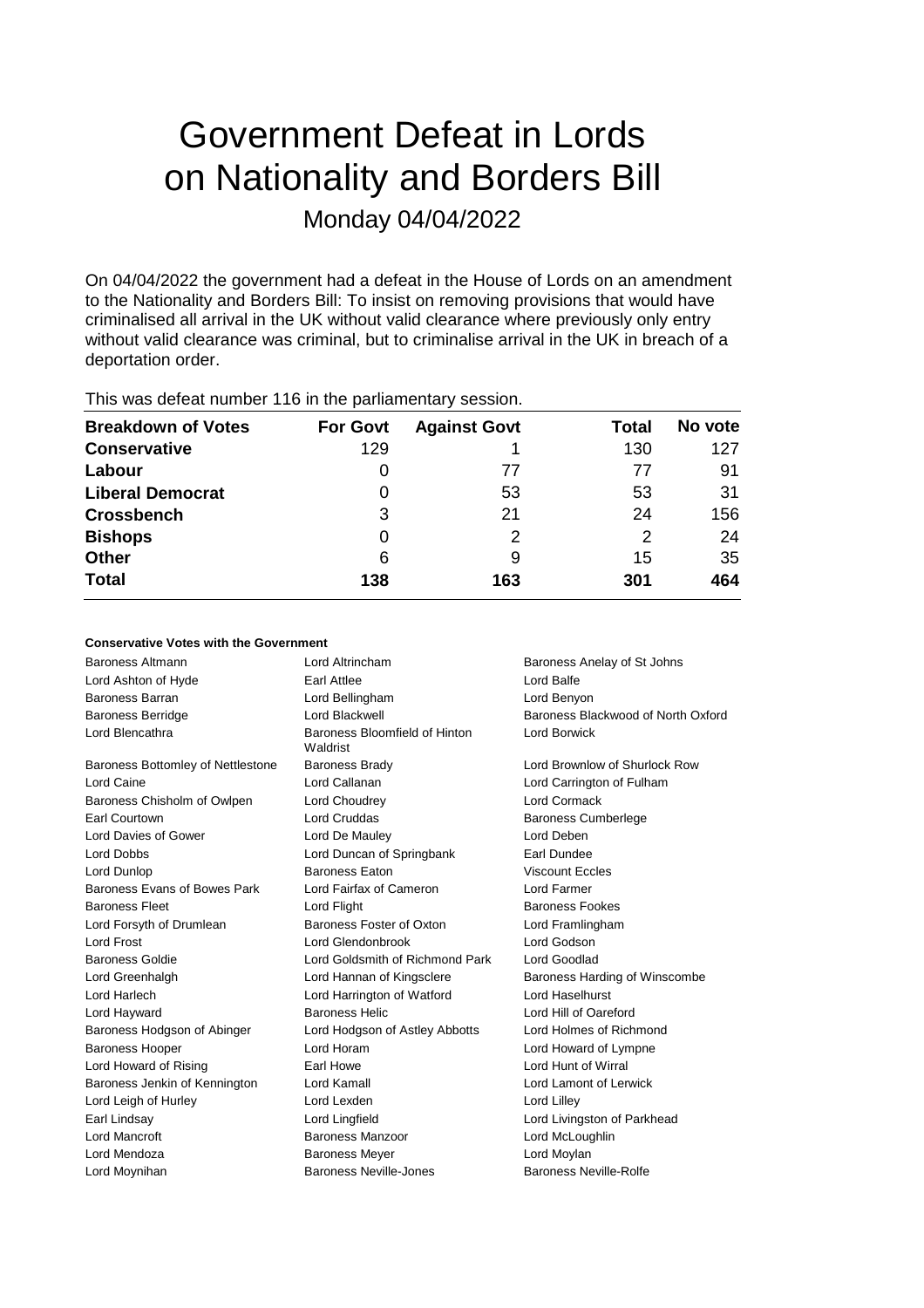# Government Defeat in Lords on Nationality and Borders Bill Monday 04/04/2022

On 04/04/2022 the government had a defeat in the House of Lords on an amendment to the Nationality and Borders Bill: To insist on removing provisions that would have criminalised all arrival in the UK without valid clearance where previously only entry without valid clearance was criminal, but to criminalise arrival in the UK in breach of a deportation order.

| <b>Breakdown of Votes</b> | <b>For Govt</b> | <b>Against Govt</b> | Total         | No vote |
|---------------------------|-----------------|---------------------|---------------|---------|
| <b>Conservative</b>       | 129             |                     | 130           | 127     |
| Labour                    | O               | 77                  | 77            | 91      |
| <b>Liberal Democrat</b>   | 0               | 53                  | 53            | 31      |
| <b>Crossbench</b>         | 3               | 21                  | 24            | 156     |
| <b>Bishops</b>            | 0               | 2                   | $\mathcal{P}$ | 24      |
| Other                     | 6               | 9                   | 15            | 35      |
| <b>Total</b>              | 138             | 163                 | 301           | 464     |

This was defeat number 116 in the parliamentary session.

## **Conservative Votes with the Government**

| Baroness Altmann                  | Lord Altrincham                           | Baroness Anelay of St Johns        |
|-----------------------------------|-------------------------------------------|------------------------------------|
| Lord Ashton of Hyde               | Earl Attlee                               | Lord Balfe                         |
| <b>Baroness Barran</b>            | Lord Bellingham                           | Lord Benyon                        |
| <b>Baroness Berridge</b>          | Lord Blackwell                            | Baroness Blackwood of North Oxford |
| Lord Blencathra                   | Baroness Bloomfield of Hinton<br>Waldrist | Lord Borwick                       |
| Baroness Bottomley of Nettlestone | <b>Baroness Brady</b>                     | Lord Brownlow of Shurlock Row      |
| Lord Caine                        | Lord Callanan                             | Lord Carrington of Fulham          |
| Baroness Chisholm of Owlpen       | Lord Choudrey                             | <b>Lord Cormack</b>                |
| Earl Courtown                     | Lord Cruddas                              | <b>Baroness Cumberlege</b>         |
| Lord Davies of Gower              | Lord De Mauley                            | Lord Deben                         |
| Lord Dobbs                        | Lord Duncan of Springbank                 | Earl Dundee                        |
| Lord Dunlop                       | <b>Baroness Eaton</b>                     | <b>Viscount Eccles</b>             |
| Baroness Evans of Bowes Park      | Lord Fairfax of Cameron                   | Lord Farmer                        |
| <b>Baroness Fleet</b>             | Lord Flight                               | <b>Baroness Fookes</b>             |
| Lord Forsyth of Drumlean          | Baroness Foster of Oxton                  | Lord Framlingham                   |
| Lord Frost                        | Lord Glendonbrook                         | Lord Godson                        |
| <b>Baroness Goldie</b>            | Lord Goldsmith of Richmond Park           | Lord Goodlad                       |
| Lord Greenhalgh                   | Lord Hannan of Kingsclere                 | Baroness Harding of Winscombe      |
| Lord Harlech                      | Lord Harrington of Watford                | Lord Haselhurst                    |
| Lord Hayward                      | Baroness Helic                            | Lord Hill of Oareford              |
| Baroness Hodgson of Abinger       | Lord Hodgson of Astley Abbotts            | Lord Holmes of Richmond            |
| <b>Baroness Hooper</b>            | Lord Horam                                | Lord Howard of Lympne              |
| Lord Howard of Rising             | Earl Howe                                 | Lord Hunt of Wirral                |
| Baroness Jenkin of Kennington     | Lord Kamall                               | Lord Lamont of Lerwick             |
| Lord Leigh of Hurley              | Lord Lexden                               | Lord Lilley                        |
| Earl Lindsay                      | Lord Lingfield                            | Lord Livingston of Parkhead        |
| <b>Lord Mancroft</b>              | Baroness Manzoor                          | Lord McLoughlin                    |
| Lord Mendoza                      | <b>Baroness Meyer</b>                     | Lord Moylan                        |
| Lord Moynihan                     | Baroness Neville-Jones                    | Baroness Neville-Rolfe             |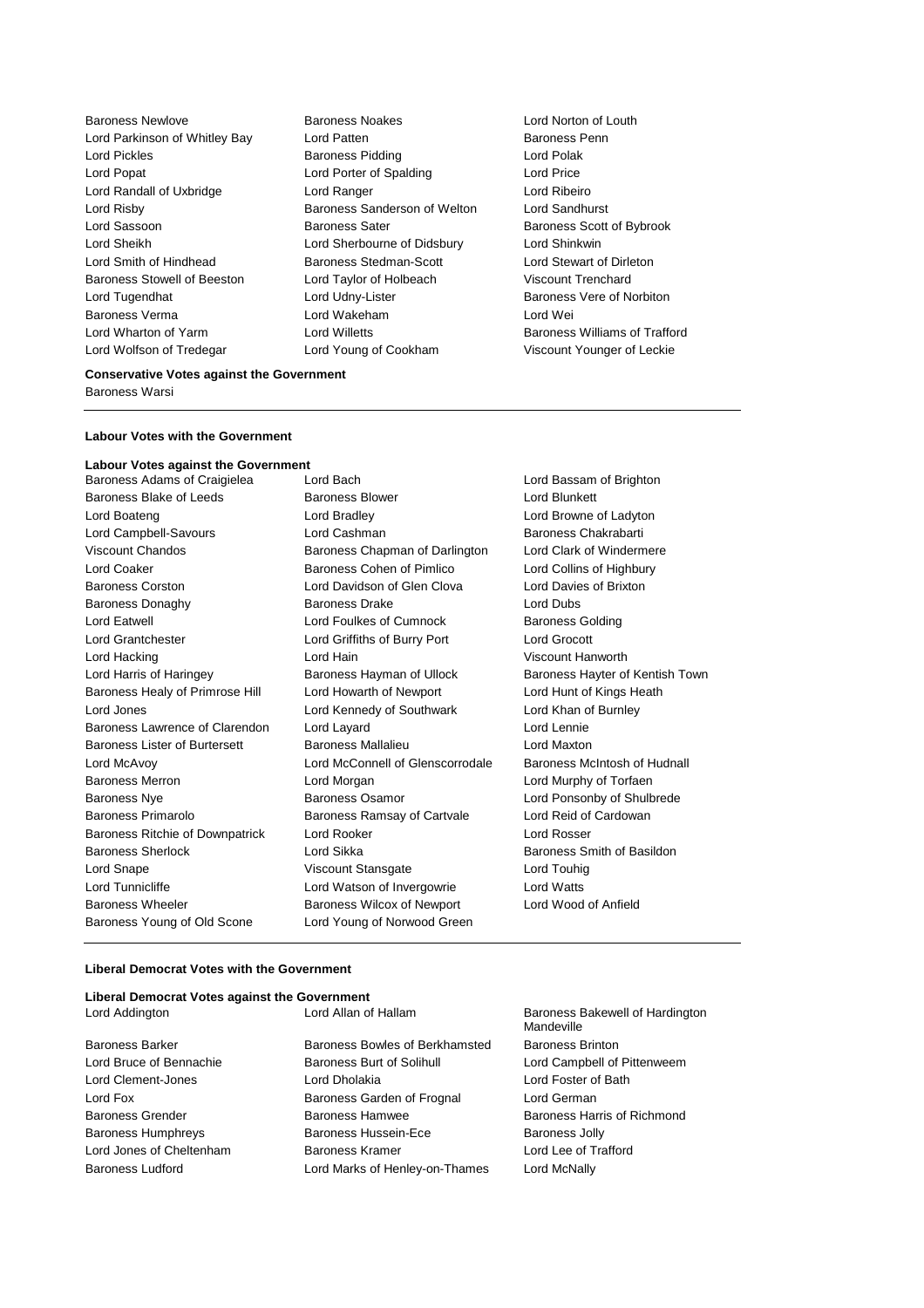Baroness Newlove Baroness Noakes Lord Norton of Louth Lord Parkinson of Whitley Bay Lord Patten **Baroness Penn** Lord Pickles Baroness Pidding Lord Polak Lord Popat **Lord Porter of Spalding Lord Price** Lord Randall of Uxbridge Lord Ranger Lord Ribeiro Lord Risby Baroness Sanderson of Welton Lord Sandhurst Lord Sassoon **Baroness Sater** Baroness Scott of Bybrook Lord Sheikh Lord Sherbourne of Didsbury Lord Shinkwin Lord Smith of Hindhead Baroness Stedman-Scott Lord Stewart of Dirleton Baroness Stowell of Beeston Lord Taylor of Holbeach Viscount Trenchard Lord Tugendhat Lord Udny-Lister Baroness Vere of Norbiton Baroness Verma Lord Wakeham Lord Wei Lord Wharton of Yarm **Lord Willetts** Baroness Williams of Trafford **Lord Williams** of Trafford Lord Wolfson of Tredegar Lord Young of Cookham Viscount Younger of Leckie

#### **Conservative Votes against the Government**

Baroness Warsi

#### **Labour Votes with the Government**

#### **Labour Votes against the Government**

Baroness Adams of Craigielea Lord Bach Lord Bassam of Brighton Baroness Blake of Leeds **Baroness Blower** Baroness Blower **Lord Blunkett** Lord Boateng Lord Bradley Lord Browne of Ladyton Lord Campbell-Savours **Lord Cashman** Baroness Chakrabarti Viscount Chandos Baroness Chapman of Darlington Lord Clark of Windermere Lord Coaker **Baroness Cohen of Pimlico** Lord Collins of Highbury Baroness Corston Lord Davidson of Glen Clova Lord Davies of Brixton Baroness Donaghy Baroness Drake Lord Dubs Lord Eatwell Lord Foulkes of Cumnock Baroness Golding Lord Grantchester Lord Griffiths of Burry Port Lord Grocott Lord Hacking Lord Hain Viscount Hanworth Lord Harris of Haringey Baroness Hayman of Ullock Baroness Hayter of Kentish Town Baroness Healy of Primrose Hill Lord Howarth of Newport Lord Hunt of Kings Heath Lord Jones Lord Kennedy of Southwark Lord Khan of Burnley Baroness Lawrence of Clarendon Lord Layard Lord Lennie Baroness Lister of Burtersett Baroness Mallalieu Lord Maxton Lord McAvoy Lord McConnell of Glenscorrodale Baroness McIntosh of Hudnall Baroness Merron Lord Morgan Lord Murphy of Torfaen Baroness Nye **Baroness Osamor** Baroness Osamor **Lord Ponsonby of Shulbrede** Baroness Primarolo Baroness Ramsay of Cartvale Lord Reid of Cardowan Baroness Ritchie of Downpatrick Lord Rooker Lord Rosser Baroness Sherlock Lord Sikka Baroness Smith of Basildon Lord Snape Viscount Stansgate Lord Touhig Lord Tunnicliffe **Lord Watson of Invergowrie** Lord Watts Baroness Wheeler Baroness Wilcox of Newport Lord Wood of Anfield Baroness Young of Old Scone Lord Young of Norwood Green

#### **Liberal Democrat Votes with the Government**

|                | Liberal Democrat Votes against the Government |
|----------------|-----------------------------------------------|
| Lord Addington | Lord Allan of Hal                             |

Baroness Barker Baroness Bowles of Berkhamsted Baroness Brinton Lord Bruce of Bennachie **Baroness Burt of Solihull** Lord Campbell of Pittenweem Lord Clement-Jones Lord Dholakia Lord Foster of Bath Lord Fox Baroness Garden of Frognal Lord German Baroness Grender **Baroness Hamwee** Baroness Harris of Richmond Baroness Humphreys **Baroness Hussein-Ece** Baroness Jolly Lord Jones of Cheltenham Baroness Kramer Lord Lee of Trafford Baroness Ludford Lord Marks of Henley-on-Thames Lord McNally

lam Baroness Bakewell of Hardington **Mandeville**